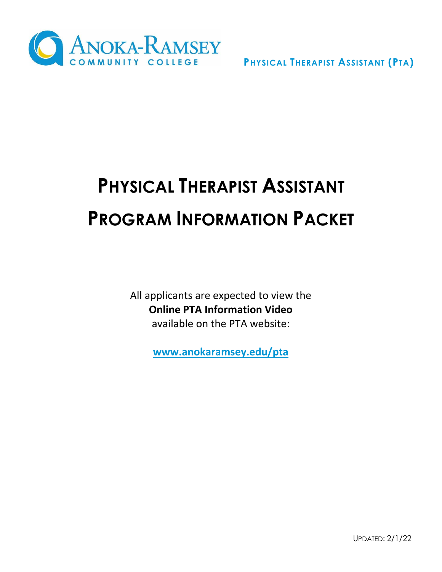

# **PHYSICAL THERAPIST ASSISTANT PROGRAM INFORMATION PACKET**

All applicants are expected to view the **Online PTA Information Video** available on the PTA website:

**[www.anokaramsey.edu/pta](http://www.anokaramsey.edu/pta)**

UPDATED: 2/1/22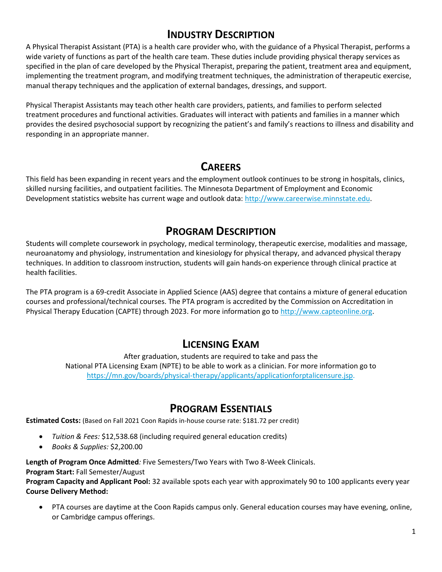## **INDUSTRY DESCRIPTION**

A Physical Therapist Assistant (PTA) is a health care provider who, with the guidance of a Physical Therapist, performs a wide variety of functions as part of the health care team. These duties include providing physical therapy services as specified in the plan of care developed by the Physical Therapist, preparing the patient, treatment area and equipment, implementing the treatment program, and modifying treatment techniques, the administration of therapeutic exercise, manual therapy techniques and the application of external bandages, dressings, and support.

Physical Therapist Assistants may teach other health care providers, patients, and families to perform selected treatment procedures and functional activities. Graduates will interact with patients and families in a manner which provides the desired psychosocial support by recognizing the patient's and family's reactions to illness and disability and responding in an appropriate manner.

# **CAREERS**

This field has been expanding in recent years and the employment outlook continues to be strong in hospitals, clinics, skilled nursing facilities, and outpatient facilities. The Minnesota Department of Employment and Economic Development statistics website has current wage and outlook data: [http://www.careerwise.minnstate.edu.](http://www.careerwise.minnstate.edu/)

## **PROGRAM DESCRIPTION**

Students will complete coursework in psychology, medical terminology, therapeutic exercise, modalities and massage, neuroanatomy and physiology, instrumentation and kinesiology for physical therapy, and advanced physical therapy techniques. In addition to classroom instruction, students will gain hands-on experience through clinical practice at health facilities.

The PTA program is a 69-credit Associate in Applied Science (AAS) degree that contains a mixture of general education courses and professional/technical courses. The PTA program is accredited by the Commission on Accreditation in Physical Therapy Education (CAPTE) through 2023. For more information go to [http://www.capteonline.org.](http://www.capteonline.org/)

## **LICENSING EXAM**

After graduation, students are required to take and pass the National PTA Licensing Exam (NPTE) to be able to work as a clinician. For more information go to [https://mn.gov/boards/physical-therapy/applicants/applicationforptalicensure.jsp.](https://mn.gov/boards/physical-therapy/applicants/applicationforptalicensure.jsp)

## **PROGRAM ESSENTIALS**

**Estimated Costs:** (Based on Fall 2021 Coon Rapids in-house course rate: \$181.72 per credit)

- *Tuition & Fees:* \$12,538.68 (including required general education credits)
- *Books & Supplies:* \$2,200.00

**Length of Program Once Admitted***:* Five Semesters/Two Years with Two 8-Week Clinicals.

**Program Start:** Fall Semester/August

**Program Capacity and Applicant Pool:** 32 available spots each year with approximately 90 to 100 applicants every year **Course Delivery Method:** 

• PTA courses are daytime at the Coon Rapids campus only. General education courses may have evening, online, or Cambridge campus offerings.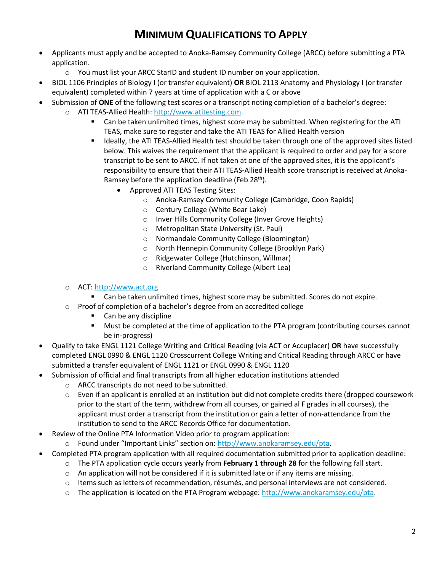# **MINIMUM QUALIFICATIONS TO APPLY**

- Applicants must apply and be accepted to Anoka-Ramsey Community College (ARCC) before submitting a PTA application.
	- $\circ$  You must list your ARCC StarID and student ID number on your application.
- BIOL 1106 Principles of Biology I (or transfer equivalent) **OR** BIOL 2113 Anatomy and Physiology I (or transfer equivalent) completed within 7 years at time of application with a C or above
- Submission of **ONE** of the following test scores or a transcript noting completion of a bachelor's degree:
	- o ATI TEAS-Allied Health: [http://www.atitesting.com.](http://www.atitesting.com/)
		- Can be taken unlimited times, highest score may be submitted. When registering for the ATI TEAS, make sure to register and take the ATI TEAS for Allied Health version
		- Ideally, the ATI TEAS-Allied Health test should be taken through one of the approved sites listed below. This waives the requirement that the applicant is required to order and pay for a score transcript to be sent to ARCC. If not taken at one of the approved sites, it is the applicant's responsibility to ensure that their ATI TEAS-Allied Health score transcript is received at Anoka-Ramsey before the application deadline (Feb  $28<sup>th</sup>$ ).
			- Approved ATI TEAS Testing Sites:
				- o Anoka-Ramsey Community College (Cambridge, Coon Rapids)
				- o Century College (White Bear Lake)
				- o Inver Hills Community College (Inver Grove Heights)
				- o Metropolitan State University (St. Paul)
				- o Normandale Community College (Bloomington)
				- o North Hennepin Community College (Brooklyn Park)
				- o Ridgewater College (Hutchinson, Willmar)
				- o Riverland Community College (Albert Lea)
	- o ACT: [http://www.act.org](http://www.act.org/)
		- Can be taken unlimited times, highest score may be submitted. Scores do not expire.
	- o Proof of completion of a bachelor's degree from an accredited college
		- Can be any discipline
		- Must be completed at the time of application to the PTA program (contributing courses cannot be in-progress)
- Qualify to take ENGL 1121 College Writing and Critical Reading (via ACT or Accuplacer) **OR** have successfully completed ENGL 0990 & ENGL 1120 Crosscurrent College Writing and Critical Reading through ARCC or have submitted a transfer equivalent of ENGL 1121 or ENGL 0990 & ENGL 1120
- Submission of official and final transcripts from all higher education institutions attended
	- o ARCC transcripts do not need to be submitted.
	- $\circ$  Even if an applicant is enrolled at an institution but did not complete credits there (dropped coursework prior to the start of the term, withdrew from all courses, or gained al F grades in all courses), the applicant must order a transcript from the institution or gain a letter of non-attendance from the institution to send to the ARCC Records Office for documentation.
- Review of the Online PTA Information Video prior to program application:
	- o Found under "Important Links" section on: [http://www.anokaramsey.edu/pta.](http://www.anokaramsey.edu/pta)
- Completed PTA program application with all required documentation submitted prior to application deadline:
	- o The PTA application cycle occurs yearly from **February 1 through 28** for the following fall start.
	- $\circ$  An application will not be considered if it is submitted late or if any items are missing.
	- o Items such as letters of recommendation, résumés, and personal interviews are not considered.
	- o The application is located on the PTA Program webpage[: http://www.anokaramsey.edu/pta.](http://www.anokaramsey.edu/pta)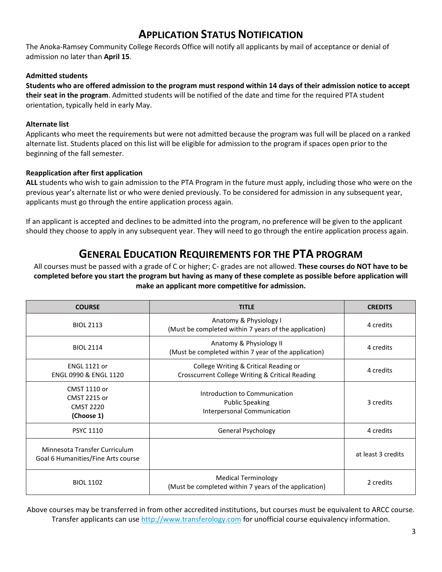## **APPLICATION STATUS NOTIFICATION**

The Anoka-Ramsey Community College Records Office will notify all applicants by mail of acceptance or denial of admission no later than **April 15**.

## **Admitted students**

**Students who are offered admission to the program must respond within 14 days of their admission notice to accept their seat in the program**. Admitted students will be notified of the date and time for the required PTA student orientation, typically held in early May.

## **Alternate list**

Applicants who meet the requirements but were not admitted because the program was full will be placed on a ranked alternate list. Students placed on this list will be eligible for admission to the program if spaces open prior to the beginning of the fall semester.

## **Reapplication after first application**

**ALL** students who wish to gain admission to the PTA Program in the future must apply, including those who were on the previous year's alternate list or who were denied previously. To be considered for admission in any subsequent year, applicants must go through the entire application process again.

If an applicant is accepted and declines to be admitted into the program, no preference will be given to the applicant should they choose to apply in any subsequent year. They will need to go through the entire application process again.

## **GENERAL EDUCATION REQUIREMENTS FOR THE PTA PROGRAM**

All courses must be passed with a grade of C or higher; C- grades are not allowed. **These courses do NOT have to be completed before you start the program but having as many of these complete as possible before application will make an applicant more competitive for admission.**

| <b>COURSE</b>                                                       | <b>TITLE</b>                                                                             | <b>CREDITS</b>     |  |
|---------------------------------------------------------------------|------------------------------------------------------------------------------------------|--------------------|--|
| <b>BIOL 2113</b>                                                    | Anatomy & Physiology I<br>(Must be completed within 7 years of the application)          | 4 credits          |  |
| <b>BIOI 2114</b>                                                    | Anatomy & Physiology II<br>(Must be completed within 7 year of the application)          | 4 credits          |  |
| <b>ENGL 1121 or</b><br><b>ENGL 0990 &amp; ENGL 1120</b>             | College Writing & Critical Reading or<br>Crosscurrent College Writing & Critical Reading | 4 credits          |  |
| CMST 1110 or<br>CMST 2215 or<br><b>CMST 2220</b><br>(Choose 1)      | Introduction to Communication<br><b>Public Speaking</b><br>Interpersonal Communication   | 3 credits          |  |
| <b>PSYC 1110</b>                                                    | General Psychology                                                                       | 4 credits          |  |
| Minnesota Transfer Curriculum<br>Goal 6 Humanities/Fine Arts course |                                                                                          | at least 3 credits |  |
| <b>BIOL 1102</b>                                                    | Medical Terminology<br>(Must be completed within 7 years of the application)             | 2 credits          |  |

Above courses may be transferred in from other accredited institutions, but courses must be equivalent to ARCC course. Transfer applicants can use [http://www.transferology.com](http://www.transferology.com/) for unofficial course equivalency information.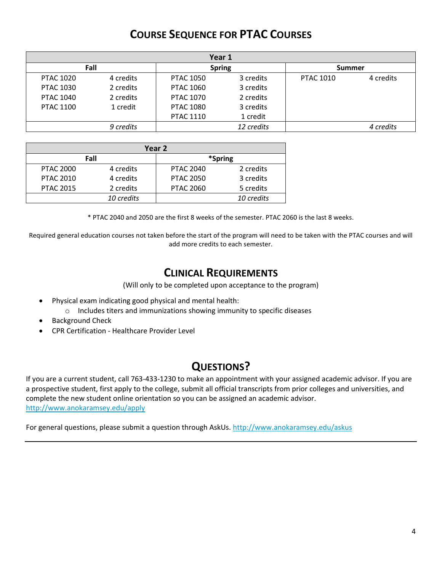# **COURSE SEQUENCE FOR PTAC COURSES**

| Year 1           |           |                  |            |                  |           |  |  |  |
|------------------|-----------|------------------|------------|------------------|-----------|--|--|--|
| Fall             |           | <b>Spring</b>    |            | <b>Summer</b>    |           |  |  |  |
| <b>PTAC 1020</b> | 4 credits | <b>PTAC 1050</b> | 3 credits  | <b>PTAC 1010</b> | 4 credits |  |  |  |
| <b>PTAC 1030</b> | 2 credits | <b>PTAC 1060</b> | 3 credits  |                  |           |  |  |  |
| <b>PTAC 1040</b> | 2 credits | <b>PTAC 1070</b> | 2 credits  |                  |           |  |  |  |
| <b>PTAC 1100</b> | 1 credit  | <b>PTAC 1080</b> | 3 credits  |                  |           |  |  |  |
|                  |           | <b>PTAC 1110</b> | 1 credit   |                  |           |  |  |  |
|                  | 9 credits |                  | 12 credits |                  | 4 credits |  |  |  |

| Year 2           |            |                  |            |  |  |  |
|------------------|------------|------------------|------------|--|--|--|
| Fall             |            | *Spring          |            |  |  |  |
| <b>PTAC 2000</b> | 4 credits  | <b>PTAC 2040</b> | 2 credits  |  |  |  |
| <b>PTAC 2010</b> | 4 credits  | <b>PTAC 2050</b> | 3 credits  |  |  |  |
| <b>PTAC 2015</b> | 2 credits  | <b>PTAC 2060</b> | 5 credits  |  |  |  |
|                  | 10 credits |                  | 10 credits |  |  |  |

\* PTAC 2040 and 2050 are the first 8 weeks of the semester. PTAC 2060 is the last 8 weeks.

Required general education courses not taken before the start of the program will need to be taken with the PTAC courses and will add more credits to each semester.

## **CLINICAL REQUIREMENTS**

(Will only to be completed upon acceptance to the program)

- Physical exam indicating good physical and mental health:
	- o Includes titers and immunizations showing immunity to specific diseases
- Background Check
- CPR Certification Healthcare Provider Level

## **QUESTIONS?**

If you are a current student, call 763-433-1230 to make an appointment with your assigned academic advisor. If you are a prospective student, first apply to the college, submit all official transcripts from prior colleges and universities, and complete the new student online orientation so you can be assigned an academic advisor. <http://www.anokaramsey.edu/apply>

For general questions, please submit a question through AskUs[. http://www.anokaramsey.edu/askus](http://www.anokaramsey.edu/askus)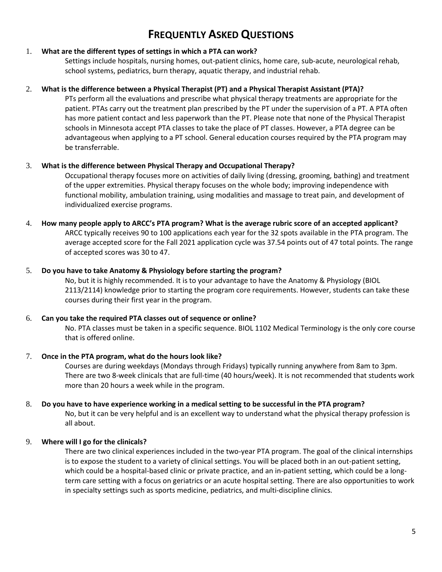# **FREQUENTLY ASKED QUESTIONS**

## 1. **What are the different types of settings in which a PTA can work?**

Settings include hospitals, nursing homes, out-patient clinics, home care, sub-acute, neurological rehab, school systems, pediatrics, burn therapy, aquatic therapy, and industrial rehab.

## 2. **What is the difference between a Physical Therapist (PT) and a Physical Therapist Assistant (PTA)?**

PTs perform all the evaluations and prescribe what physical therapy treatments are appropriate for the patient. PTAs carry out the treatment plan prescribed by the PT under the supervision of a PT. A PTA often has more patient contact and less paperwork than the PT. Please note that none of the Physical Therapist schools in Minnesota accept PTA classes to take the place of PT classes. However, a PTA degree can be advantageous when applying to a PT school. General education courses required by the PTA program may be transferrable.

## 3. **What is the difference between Physical Therapy and Occupational Therapy?**

Occupational therapy focuses more on activities of daily living (dressing, grooming, bathing) and treatment of the upper extremities. Physical therapy focuses on the whole body; improving independence with functional mobility, ambulation training, using modalities and massage to treat pain, and development of individualized exercise programs.

## 4. **How many people apply to ARCC's PTA program? What is the average rubric score of an accepted applicant?** ARCC typically receives 90 to 100 applications each year for the 32 spots available in the PTA program. The average accepted score for the Fall 2021 application cycle was 37.54 points out of 47 total points. The range of accepted scores was 30 to 47.

## 5. **Do you have to take Anatomy & Physiology before starting the program?**

No, but it is highly recommended. It is to your advantage to have the Anatomy & Physiology (BIOL 2113/2114) knowledge prior to starting the program core requirements. However, students can take these courses during their first year in the program.

#### 6. **Can you take the required PTA classes out of sequence or online?**

No. PTA classes must be taken in a specific sequence. BIOL 1102 Medical Terminology is the only core course that is offered online.

#### 7. **Once in the PTA program, what do the hours look like?**

Courses are during weekdays (Mondays through Fridays) typically running anywhere from 8am to 3pm. There are two 8-week clinicals that are full-time (40 hours/week). It is not recommended that students work more than 20 hours a week while in the program.

#### 8. **Do you have to have experience working in a medical setting to be successful in the PTA program?** No, but it can be very helpful and is an excellent way to understand what the physical therapy profession is all about.

## 9. **Where will I go for the clinicals?**

There are two clinical experiences included in the two-year PTA program. The goal of the clinical internships is to expose the student to a variety of clinical settings. You will be placed both in an out-patient setting, which could be a hospital-based clinic or private practice, and an in-patient setting, which could be a longterm care setting with a focus on geriatrics or an acute hospital setting. There are also opportunities to work in specialty settings such as sports medicine, pediatrics, and multi-discipline clinics.